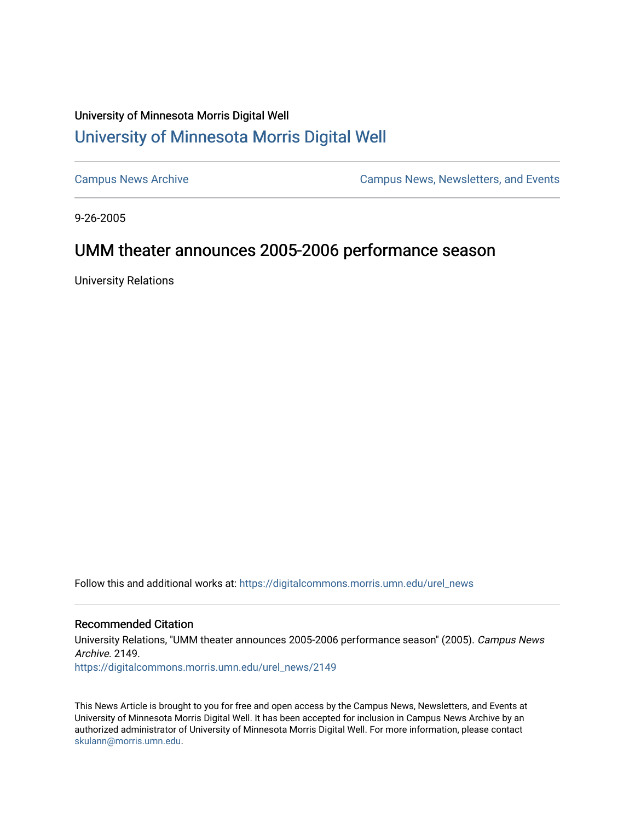## University of Minnesota Morris Digital Well [University of Minnesota Morris Digital Well](https://digitalcommons.morris.umn.edu/)

[Campus News Archive](https://digitalcommons.morris.umn.edu/urel_news) [Campus News, Newsletters, and Events](https://digitalcommons.morris.umn.edu/externalrel) 

9-26-2005

# UMM theater announces 2005-2006 performance season

University Relations

Follow this and additional works at: [https://digitalcommons.morris.umn.edu/urel\\_news](https://digitalcommons.morris.umn.edu/urel_news?utm_source=digitalcommons.morris.umn.edu%2Furel_news%2F2149&utm_medium=PDF&utm_campaign=PDFCoverPages) 

#### Recommended Citation

University Relations, "UMM theater announces 2005-2006 performance season" (2005). Campus News Archive. 2149.

[https://digitalcommons.morris.umn.edu/urel\\_news/2149](https://digitalcommons.morris.umn.edu/urel_news/2149?utm_source=digitalcommons.morris.umn.edu%2Furel_news%2F2149&utm_medium=PDF&utm_campaign=PDFCoverPages) 

This News Article is brought to you for free and open access by the Campus News, Newsletters, and Events at University of Minnesota Morris Digital Well. It has been accepted for inclusion in Campus News Archive by an authorized administrator of University of Minnesota Morris Digital Well. For more information, please contact [skulann@morris.umn.edu.](mailto:skulann@morris.umn.edu)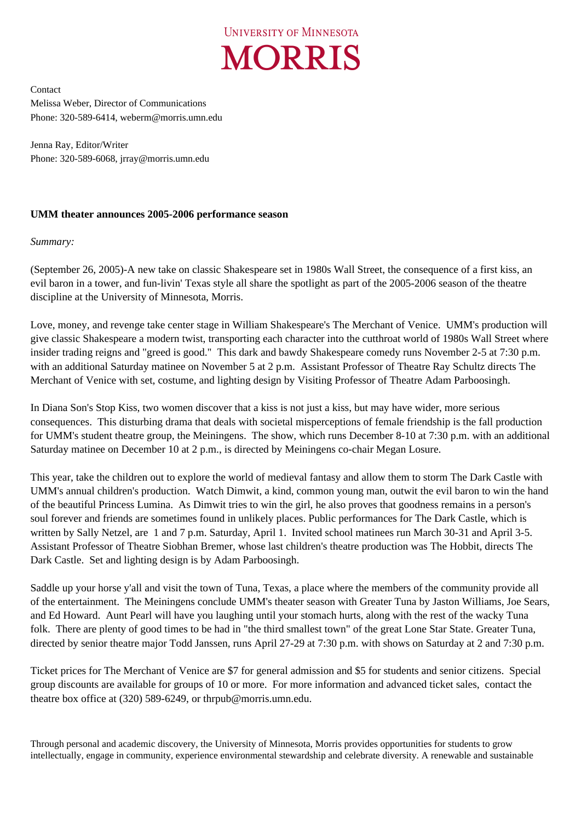

Contact Melissa Weber, Director of Communications Phone: 320-589-6414, weberm@morris.umn.edu

Jenna Ray, Editor/Writer Phone: 320-589-6068, jrray@morris.umn.edu

### **UMM theater announces 2005-2006 performance season**

#### *Summary:*

(September 26, 2005)-A new take on classic Shakespeare set in 1980s Wall Street, the consequence of a first kiss, an evil baron in a tower, and fun-livin' Texas style all share the spotlight as part of the 2005-2006 season of the theatre discipline at the University of Minnesota, Morris.

Love, money, and revenge take center stage in William Shakespeare's The Merchant of Venice. UMM's production will give classic Shakespeare a modern twist, transporting each character into the cutthroat world of 1980s Wall Street where insider trading reigns and "greed is good." This dark and bawdy Shakespeare comedy runs November 2-5 at 7:30 p.m. with an additional Saturday matinee on November 5 at 2 p.m. Assistant Professor of Theatre Ray Schultz directs The Merchant of Venice with set, costume, and lighting design by Visiting Professor of Theatre Adam Parboosingh.

In Diana Son's Stop Kiss, two women discover that a kiss is not just a kiss, but may have wider, more serious consequences. This disturbing drama that deals with societal misperceptions of female friendship is the fall production for UMM's student theatre group, the Meiningens. The show, which runs December 8-10 at 7:30 p.m. with an additional Saturday matinee on December 10 at 2 p.m., is directed by Meiningens co-chair Megan Losure.

This year, take the children out to explore the world of medieval fantasy and allow them to storm The Dark Castle with UMM's annual children's production. Watch Dimwit, a kind, common young man, outwit the evil baron to win the hand of the beautiful Princess Lumina. As Dimwit tries to win the girl, he also proves that goodness remains in a person's soul forever and friends are sometimes found in unlikely places. Public performances for The Dark Castle, which is written by Sally Netzel, are 1 and 7 p.m. Saturday, April 1. Invited school matinees run March 30-31 and April 3-5. Assistant Professor of Theatre Siobhan Bremer, whose last children's theatre production was The Hobbit, directs The Dark Castle. Set and lighting design is by Adam Parboosingh.

Saddle up your horse y'all and visit the town of Tuna, Texas, a place where the members of the community provide all of the entertainment. The Meiningens conclude UMM's theater season with Greater Tuna by Jaston Williams, Joe Sears, and Ed Howard. Aunt Pearl will have you laughing until your stomach hurts, along with the rest of the wacky Tuna folk. There are plenty of good times to be had in "the third smallest town" of the great Lone Star State. Greater Tuna, directed by senior theatre major Todd Janssen, runs April 27-29 at 7:30 p.m. with shows on Saturday at 2 and 7:30 p.m.

Ticket prices for The Merchant of Venice are \$7 for general admission and \$5 for students and senior citizens. Special group discounts are available for groups of 10 or more. For more information and advanced ticket sales, contact the theatre box office at (320) 589-6249, or thrpub@morris.umn.edu.

Through personal and academic discovery, the University of Minnesota, Morris provides opportunities for students to grow intellectually, engage in community, experience environmental stewardship and celebrate diversity. A renewable and sustainable